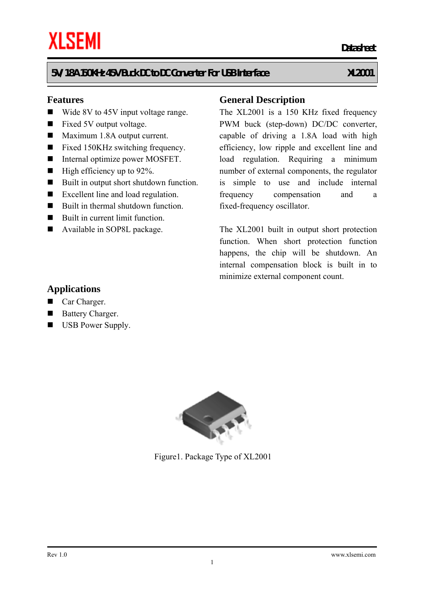#### **5V/1.8A 150KHz 45V Buck DC to DC Converter For USB Interface XL2001**

#### **Features**

- Wide 8V to 45V input voltage range.
- Fixed 5V output voltage.
- Maximum 1.8A output current.
- Fixed 150KHz switching frequency.
- Internal optimize power MOSFET.
- $\blacksquare$  High efficiency up to 92%.
- Built in output short shutdown function.
- Excellent line and load regulation.
- Built in thermal shutdown function.
- Built in current limit function.
- Available in SOP8L package.

#### **General Description**

*Datasheet* 

The XL2001 is a 150 KHz fixed frequency PWM buck (step-down) DC/DC converter, capable of driving a 1.8A load with high efficiency, low ripple and excellent line and load regulation. Requiring a minimum number of external components, the regulator is simple to use and include internal frequency compensation and a fixed-frequency oscillator.

The XL2001 built in output short protection function. When short protection function happens, the chip will be shutdown. An internal compensation block is built in to minimize external component count.

#### **Applications**

- Car Charger.
- Battery Charger.
- **USB Power Supply.**



Figure1. Package Type of XL2001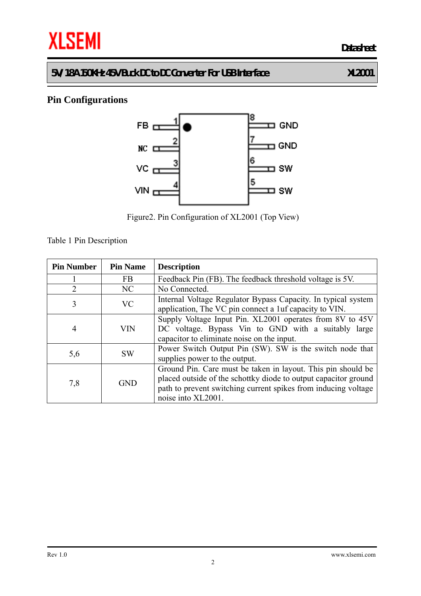**5V/1.8A 150KHz 45V Buck DC to DC Converter For USB Interface XL2001** 

## **Pin Configurations**



Figure2. Pin Configuration of XL2001 (Top View)

Table 1 Pin Description

| <b>Pin Number</b> | <b>Pin Name</b> | <b>Description</b>                                                                                                                                                                                                      |
|-------------------|-----------------|-------------------------------------------------------------------------------------------------------------------------------------------------------------------------------------------------------------------------|
|                   | <b>FB</b>       | Feedback Pin (FB). The feedback threshold voltage is 5V.                                                                                                                                                                |
| $\overline{2}$    | NC              | No Connected.                                                                                                                                                                                                           |
| 3                 | <b>VC</b>       | Internal Voltage Regulator Bypass Capacity. In typical system<br>application, The VC pin connect a 1uf capacity to VIN.                                                                                                 |
| 4                 | VIN             | Supply Voltage Input Pin. XL2001 operates from 8V to 45V<br>DC voltage. Bypass Vin to GND with a suitably large<br>capacitor to eliminate noise on the input.                                                           |
| 5,6               | <b>SW</b>       | Power Switch Output Pin (SW). SW is the switch node that<br>supplies power to the output.                                                                                                                               |
| 7,8               | <b>GND</b>      | Ground Pin. Care must be taken in layout. This pin should be<br>placed outside of the schottky diode to output capacitor ground<br>path to prevent switching current spikes from inducing voltage<br>noise into XL2001. |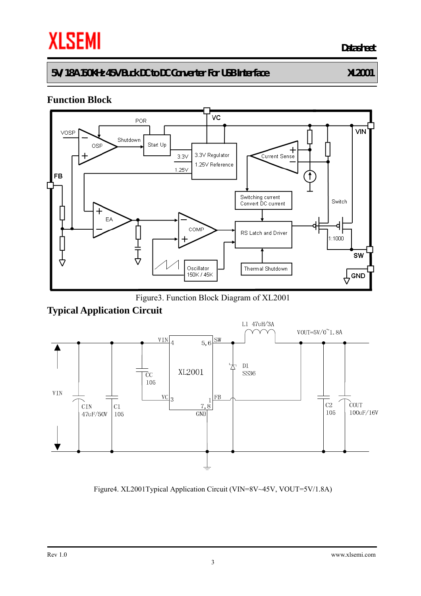## **5V/1.8A 150KHz 45V Buck DC to DC Converter For USB Interface XL2001**

### **Function Block**



Figure3. Function Block Diagram of XL2001

## **Typical Application Circuit**



Figure4. XL2001Typical Application Circuit (VIN=8V~45V, VOUT=5V/1.8A)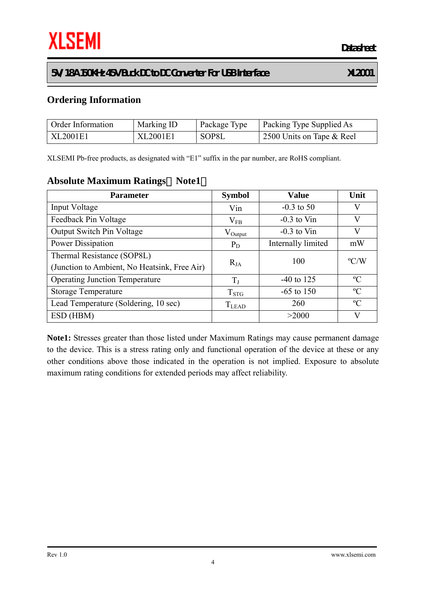#### **5V/1.8A 150KHz 45V Buck DC to DC Converter For USB Interface XL2001**

 **Datasheet**

### **Ordering Information**

| Order Information | Marking ID | Package Type | <b>Packing Type Supplied As</b> |
|-------------------|------------|--------------|---------------------------------|
| XL2001E1          | XL2001E1   | SOP8L        | 2500 Units on Tape & Reel       |

XLSEMI Pb-free products, as designated with "E1" suffix in the par number, are RoHS compliant.

#### **Absolute Maximum Ratings**(**Note1**)

| <b>Parameter</b>                             | <b>Symbol</b>       | <b>Value</b>       | Unit          |  |
|----------------------------------------------|---------------------|--------------------|---------------|--|
| Input Voltage                                | Vin                 | $-0.3$ to 50       | V             |  |
| Feedback Pin Voltage                         | $\rm V_{FB}$        | $-0.3$ to Vin      | V             |  |
| <b>Output Switch Pin Voltage</b>             | $V_{\text{Output}}$ | $-0.3$ to Vin      | V             |  |
| Power Dissipation                            | $P_D$               | Internally limited | mW            |  |
| Thermal Resistance (SOP8L)                   |                     | 100                | $\rm ^{o}C/W$ |  |
| (Junction to Ambient, No Heatsink, Free Air) | $R_{JA}$            |                    |               |  |
| <b>Operating Junction Temperature</b>        | $T_{J}$             | $-40$ to 125       | $\rm ^{o}C$   |  |
| <b>Storage Temperature</b>                   | $T_{STG}$           | $-65$ to 150       | $\rm ^{o}C$   |  |
| Lead Temperature (Soldering, 10 sec)         | <b>T</b> LEAD       | 260                | $\rm ^{o}C$   |  |
| ESD (HBM)                                    |                     | >2000              | V             |  |

**Note1:** Stresses greater than those listed under Maximum Ratings may cause permanent damage to the device. This is a stress rating only and functional operation of the device at these or any other conditions above those indicated in the operation is not implied. Exposure to absolute maximum rating conditions for extended periods may affect reliability.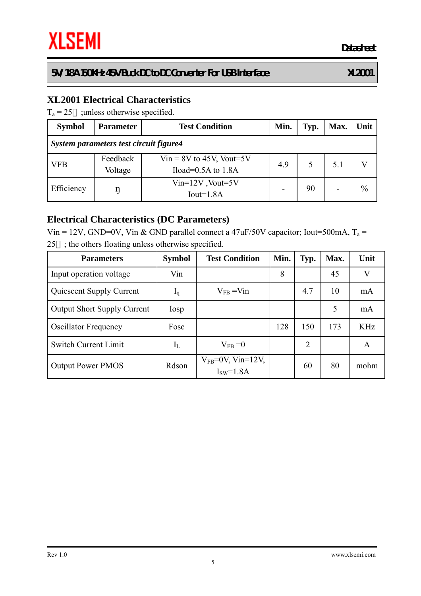### **XL2001 Electrical Characteristics**

 $T_a = 25$  ; unless otherwise specified.

| <b>Symbol</b>                          | <b>Parameter</b> | <b>Test Condition</b>      | Min. | Typ. | Max. | Unit |  |  |
|----------------------------------------|------------------|----------------------------|------|------|------|------|--|--|
| System parameters test circuit figure4 |                  |                            |      |      |      |      |  |  |
| <b>VFB</b>                             | Feedback         | $Vir = 8V$ to 45V, Vout=5V | 4.9  |      | 5.1  |      |  |  |
|                                        | Voltage          | Iload= $0.5A$ to $1.8A$    |      |      |      |      |  |  |
| Efficiency                             |                  | $Vin=12V$ , Vout=5V        |      | 90   |      | $\%$ |  |  |
|                                        |                  | $Iout=1.8A$                |      |      |      |      |  |  |

#### **Electrical Characteristics (DC Parameters)**

Vin = 12V, GND=0V, Vin & GND parallel connect a 47uF/50V capacitor; Iout=500mA,  $T_a$  = 25 ; the others floating unless otherwise specified.

| <b>Parameters</b>                  | <b>Symbol</b> | <b>Test Condition</b>                | Min. | Typ.           | Max. | Unit       |
|------------------------------------|---------------|--------------------------------------|------|----------------|------|------------|
| Input operation voltage            | Vin           |                                      | 8    |                | 45   | V          |
| <b>Quiescent Supply Current</b>    | $I_q$         | $V_{FB} = V_{1n}$                    |      | 4.7            | 10   | mA         |
| <b>Output Short Supply Current</b> | Iosp          |                                      |      |                | 5    | mA         |
| <b>Oscillator Frequency</b>        | Fosc          |                                      | 128  | 150            | 173  | <b>KHz</b> |
| <b>Switch Current Limit</b>        | $\rm I_L$     | $V_{FB} = 0$                         |      | $\overline{2}$ |      | A          |
| <b>Output Power PMOS</b>           | Rdson         | $V_{FB}$ =0V, Vin=12V,<br>$ISW=1.8A$ |      | 60             | 80   | mohm       |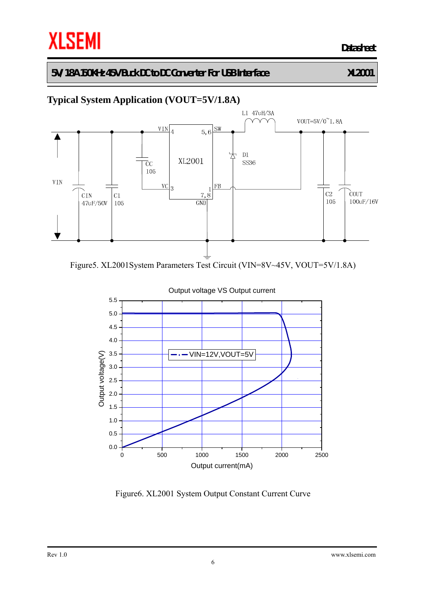**5V/1.8A 150KHz 45V Buck DC to DC Converter For USB Interface XL2001** 

# **Typical System Application (VOUT=5V/1.8A)**



Figure5. XL2001System Parameters Test Circuit (VIN=8V~45V, VOUT=5V/1.8A)



Figure6. XL2001 System Output Constant Current Curve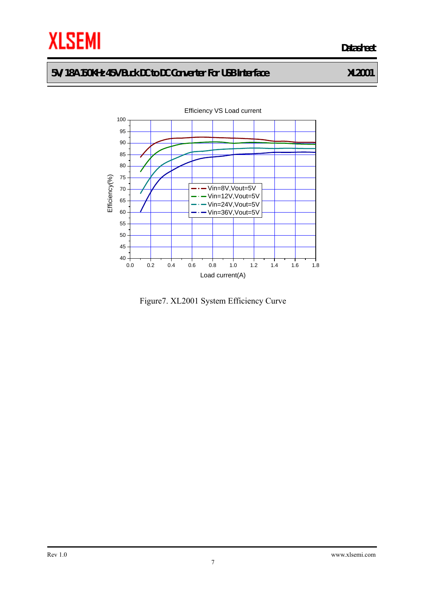

## **5V/1.8A 150KHz 45V Buck DC to DC Converter For USB Interface XL2001**



Figure7. XL2001 System Efficiency Curve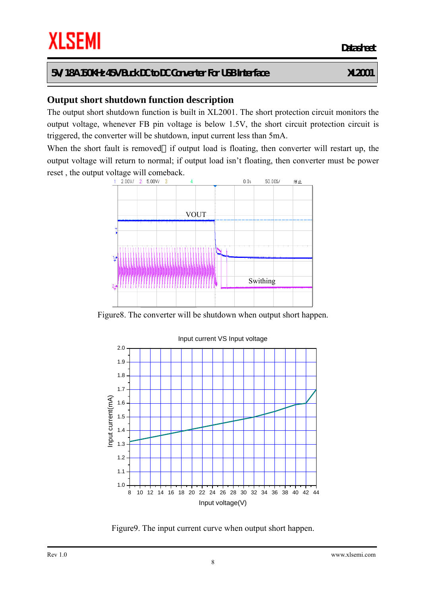**Output short shutdown function description** 

The output short shutdown function is built in XL2001. The short protection circuit monitors the output voltage, whenever FB pin voltage is below 1.5V, the short circuit protection circuit is triggered, the converter will be shutdown, input current less than 5mA.

When the short fault is removed if output load is floating, then converter will restart up, the output voltage will return to normal; if output load isn't floating, then converter must be power reset , the output voltage will comeback.



Figure8. The converter will be shutdown when output short happen.



Figure9. The input current curve when output short happen.